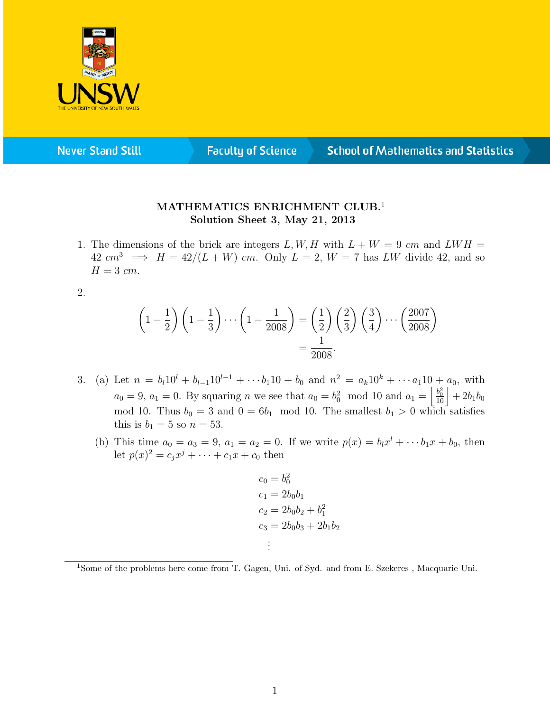

**Never Stand Still** 

**Faculty of Science** 

## **School of Mathematics and Statistics**

## MATHEMATICS ENRICHMENT CLUB.<sup>1</sup> Solution Sheet 3, May 21, 2013

1. The dimensions of the brick are integers L, W, H with  $L + W = 9$  cm and LWH =  $42 \text{ cm}^3 \implies H = 42/(L+W) \text{ cm}$ . Only  $L = 2$ ,  $W = 7$  has LW divide 42, and so  $H = 3$  cm.

2.

$$
\left(1-\frac{1}{2}\right)\left(1-\frac{1}{3}\right)\cdots\left(1-\frac{1}{2008}\right) = \left(\frac{1}{2}\right)\left(\frac{2}{3}\right)\left(\frac{3}{4}\right)\cdots\left(\frac{2007}{2008}\right) = \frac{1}{2008}.
$$

- 3. (a) Let  $n = b_l 10^l + b_{l-1} 10^{l-1} + \cdots + b_1 10 + b_0$  and  $n^2 = a_k 10^k + \cdots + a_1 10 + a_0$ , with  $a_0 = 9, a_1 = 0.$  By squaring n we see that  $a_0 = b_0^2 \mod 10$  and  $a_1 = \left| \frac{b_0^2}{10} \right| + 2b_1b_0$ mod 10. Thus  $b_0 = 3$  and  $0 = 6b_1 \mod 10$ . The smallest  $b_1 > 0$  which satisfies this is  $b_1 = 5$  so  $n = 53$ .
	- (b) This time  $a_0 = a_3 = 9$ ,  $a_1 = a_2 = 0$ . If we write  $p(x) = b_1 x^l + \cdots + b_1 x + b_0$ , then let  $p(x)^2 = c_j x^j + \cdots + c_1 x + c_0$  then

$$
c_0 = b_0^2
$$
  
\n
$$
c_1 = 2b_0b_1
$$
  
\n
$$
c_2 = 2b_0b_2 + b_1^2
$$
  
\n
$$
c_3 = 2b_0b_3 + 2b_1b_2
$$
  
\n
$$
\vdots
$$

<sup>1</sup>Some of the problems here come from T. Gagen, Uni. of Syd. and from E. Szekeres , Macquarie Uni.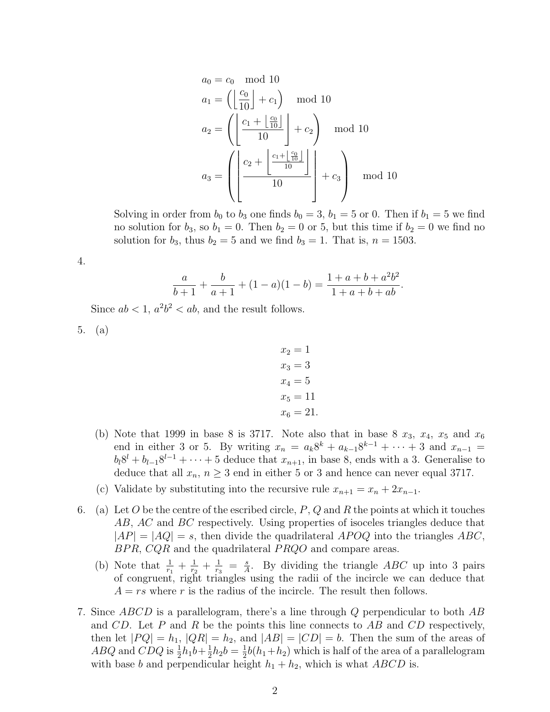$$
a_0 = c_0 \mod 10
$$
  
\n
$$
a_1 = \left( \left\lfloor \frac{c_0}{10} \right\rfloor + c_1 \right) \mod 10
$$
  
\n
$$
a_2 = \left( \left\lfloor \frac{c_1 + \left\lfloor \frac{c_0}{10} \right\rfloor}{10} \right\rfloor + c_2 \right) \mod 10
$$
  
\n
$$
a_3 = \left( \left\lfloor \frac{c_2 + \left\lfloor \frac{c_1 + \left\lfloor \frac{c_0}{10} \right\rfloor}{10} \right\rfloor}{10} \right\rfloor + c_3 \right) \mod 10
$$

Solving in order from  $b_0$  to  $b_3$  one finds  $b_0 = 3$ ,  $b_1 = 5$  or 0. Then if  $b_1 = 5$  we find no solution for  $b_3$ , so  $b_1 = 0$ . Then  $b_2 = 0$  or 5, but this time if  $b_2 = 0$  we find no solution for  $b_3$ , thus  $b_2 = 5$  and we find  $b_3 = 1$ . That is,  $n = 1503$ .

$$
4.
$$

$$
\frac{a}{b+1} + \frac{b}{a+1} + (1-a)(1-b) = \frac{1+a+b+a^2b^2}{1+a+b+ab}.
$$

Since  $ab < 1$ ,  $a^2b^2 < ab$ , and the result follows.

5. (a)

- $x_2 = 1$  $x_3 = 3$  $x_4 = 5$  $x_5 = 11$  $x_6 = 21.$
- (b) Note that 1999 in base 8 is 3717. Note also that in base 8  $x_3$ ,  $x_4$ ,  $x_5$  and  $x_6$ end in either 3 or 5. By writing  $x_n = a_k 8^k + a_{k-1} 8^{k-1} + \cdots + 3$  and  $x_{n-1} =$  $b_l 8^l + b_{l-1} 8^{l-1} + \cdots + 5$  deduce that  $x_{n+1}$ , in base 8, ends with a 3. Generalise to deduce that all  $x_n$ ,  $n \geq 3$  end in either 5 or 3 and hence can never equal 3717.
- (c) Validate by substituting into the recursive rule  $x_{n+1} = x_n + 2x_{n-1}$ .
- 6. (a) Let O be the centre of the escribed circle,  $P$ ,  $Q$  and R the points at which it touches AB, AC and BC respectively. Using properties of isoceles triangles deduce that  $|AP| = |AQ| = s$ , then divide the quadrilateral APOQ into the triangles ABC,  $BPR, CQR$  and the quadrilateral  $PRQO$  and compare areas.
	- (b) Note that  $\frac{1}{r_1} + \frac{1}{r_2}$  $\frac{1}{r_2} + \frac{1}{r_3}$  $\frac{1}{r_3} = \frac{s}{A}$  $\frac{s}{A}$ . By dividing the triangle ABC up into 3 pairs of congruent, right triangles using the radii of the incircle we can deduce that  $A = rs$  where r is the radius of the incircle. The result then follows.
- 7. Since ABCD is a parallelogram, there's a line through Q perpendicular to both AB and  $CD$ . Let P and R be the points this line connects to AB and  $CD$  respectively, then let  $|PQ| = h_1$ ,  $|QR| = h_2$ , and  $|AB| = |CD| = b$ . Then the sum of the areas of *ABQ* and *CDQ* is  $\frac{1}{2}h_1b + \frac{1}{2}$  $\frac{1}{2}h_2b = \frac{1}{2}$  $\frac{1}{2}b(h_1+h_2)$  which is half of the area of a parallelogram with base b and perpendicular height  $h_1 + h_2$ , which is what ABCD is.